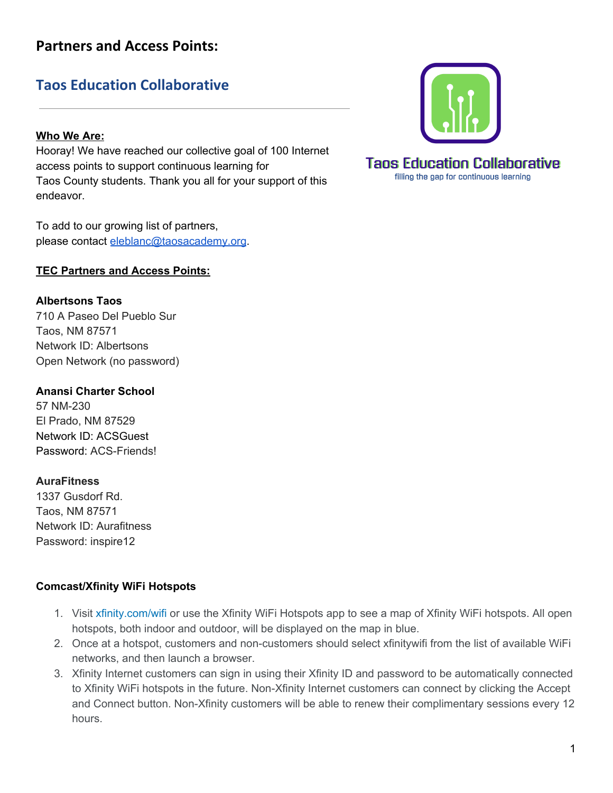## **Taos Education Collaborative**

### **Who We Are:**

Hooray! We have reached our collective goal of 100 Internet access points to support continuous learning for Taos County students. Thank you all for your support of this endeavor.

To add to our growing list of partners, please contact [eleblanc@taosacademy.org](mailto:eleblanc@taosacademy.org).

### **TEC Partners and Access Points:**

### **Albertsons Taos**

710 A Paseo Del Pueblo Sur Taos, NM 87571 Network ID: Albertsons Open Network (no password)

### **Anansi Charter School**

57 NM-230 El Prado, NM 87529 Network ID: ACSGuest Password: ACS-Friends!

### **AuraFitness**

1337 Gusdorf Rd. Taos, NM 87571 Network ID: Aurafitness Password: inspire12

### **Comcast/Xfinity WiFi Hotspots**

- 1. Visit [xfinity.com/wifi](http://www.xfinity.com/wifi) or use the Xfinity WiFi Hotspots app to see a map of Xfinity WiFi hotspots. All open hotspots, both indoor and outdoor, will be displayed on the map in blue.
- 2. Once at a hotspot, customers and non-customers should select xfinitywifi from the list of available WiFi networks, and then launch a browser.
- 3. Xfinity Internet customers can sign in using their Xfinity ID and password to be automatically connected to Xfinity WiFi hotspots in the future. Non-Xfinity Internet customers can connect by clicking the Accept and Connect button. Non-Xfinity customers will be able to renew their complimentary sessions every 12 hours.





1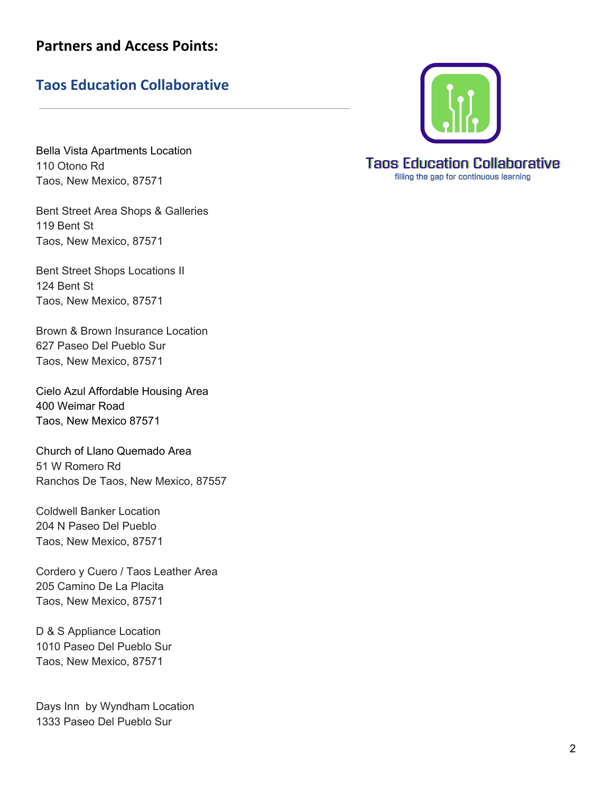# Taos Education Collaborative

Bella Vista Apartments Location 110 Otono Rd Taos, New Mexico, 87571

Bent Street Area Shops & Galleries 119 Bent St Taos, New Mexico, 87571

Bent Street Shops Locations II 124 Bent St Taos, New Mexico, 87571

Brown & Brown Insurance Location 627 Paseo Del Pueblo Sur Taos, New Mexico, 87571

Cielo Azul Affordable Housing Area 400 Weimar Road Taos, New Mexico 87571

Church of Llano Quemado Area 51 W Romero Rd Ranchos De Taos, New Mexico, 87557

Coldwell Banker Location 204 N Paseo Del Pueblo Taos, New Mexico, 87571

Cordero y Cuero / Taos Leather Area 205 Camino De La Placita Taos, New Mexico, 87571

D & S Appliance Location 1010 Paseo Del Pueblo Sur Taos, New Mexico, 87571

Days Inn by Wyndham Location 1333 Paseo Del Pueblo Sur



# **Taos Education Collaborative**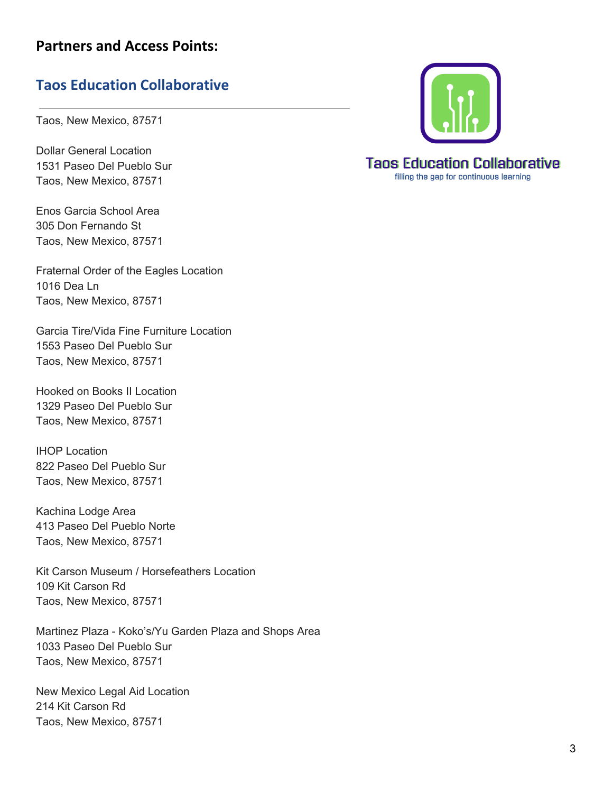## **Taos Education Collaborative**

Taos, New Mexico, 87571

Dollar General Location 1531 Paseo Del Pueblo Sur Taos, New Mexico, 87571

Enos Garcia School Area 305 Don Fernando St Taos, New Mexico, 87571

Fraternal Order of the Eagles Location 1016 Dea Ln Taos, New Mexico, 87571

Garcia Tire/Vida Fine Furniture Location 1553 Paseo Del Pueblo Sur Taos, New Mexico, 87571

Hooked on Books II Location 1329 Paseo Del Pueblo Sur Taos, New Mexico, 87571

IHOP Location 822 Paseo Del Pueblo Sur Taos, New Mexico, 87571

Kachina Lodge Area 413 Paseo Del Pueblo Norte Taos, New Mexico, 87571

Kit Carson Museum / Horsefeathers Location 109 Kit Carson Rd Taos, New Mexico, 87571

Martinez Plaza - Koko's/Yu Garden Plaza and Shops Area 1033 Paseo Del Pueblo Sur Taos, New Mexico, 87571

New Mexico Legal Aid Location 214 Kit Carson Rd Taos, New Mexico, 87571



# **Taos Education Collaborative**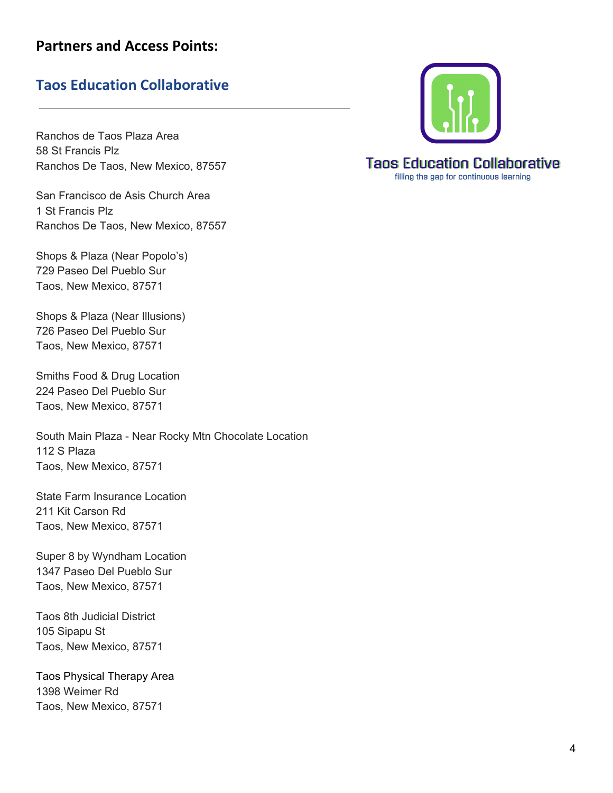### **Taos Education Collaborative**

Ranchos de Taos Plaza Area 58 St Francis Plz Ranchos De Taos, New Mexico, 87557

San Francisco de Asis Church Area 1 St Francis Plz Ranchos De Taos, New Mexico, 87557

Shops & Plaza (Near Popolo's) 729 Paseo Del Pueblo Sur Taos, New Mexico, 87571

Shops & Plaza (Near Illusions) 726 Paseo Del Pueblo Sur Taos, New Mexico, 87571

Smiths Food & Drug Location 224 Paseo Del Pueblo Sur Taos, New Mexico, 87571

South Main Plaza - Near Rocky Mtn Chocolate Location 112 S Plaza Taos, New Mexico, 87571

State Farm Insurance Location 211 Kit Carson Rd Taos, New Mexico, 87571

Super 8 by Wyndham Location 1347 Paseo Del Pueblo Sur Taos, New Mexico, 87571

Taos 8th Judicial District 105 Sipapu St Taos, New Mexico, 87571

Taos Physical Therapy Area 1398 Weimer Rd Taos, New Mexico, 87571



**Taos Education Collaborative** filling the gap for continuous learning

4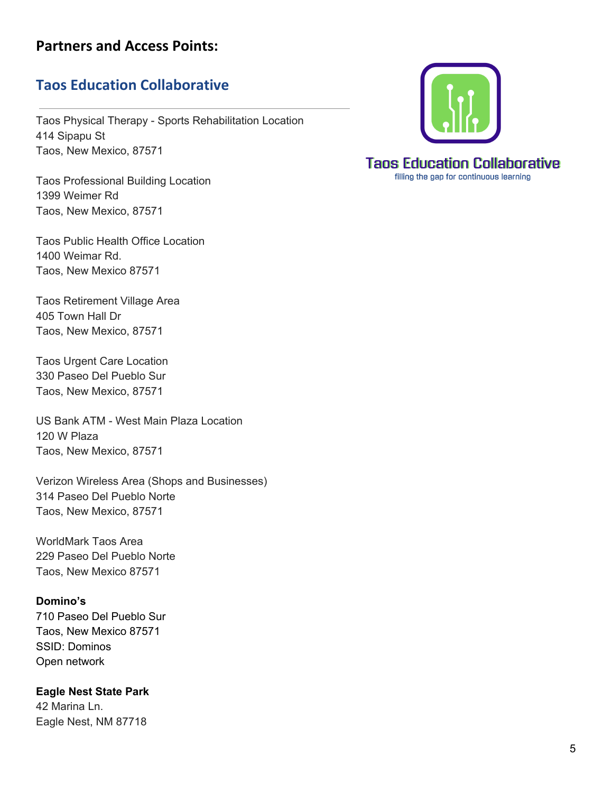### **Taos Education Collaborative**

Taos Physical Therapy - Sports Rehabilitation Location 414 Sipapu St Taos, New Mexico, 87571

Taos Professional Building Location 1399 Weimer Rd Taos, New Mexico, 87571

Taos Public Health Office Location 1400 Weimar Rd. Taos, New Mexico 87571

Taos Retirement Village Area 405 Town Hall Dr Taos, New Mexico, 87571

Taos Urgent Care Location 330 Paseo Del Pueblo Sur Taos, New Mexico, 87571

US Bank ATM - West Main Plaza Location 120 W Plaza Taos, New Mexico, 87571

Verizon Wireless Area (Shops and Businesses) 314 Paseo Del Pueblo Norte Taos, New Mexico, 87571

WorldMark Taos Area 229 Paseo Del Pueblo Norte Taos, New Mexico 87571

#### **Domino's**

710 Paseo Del Pueblo Sur Taos, New Mexico 87571 SSID: Dominos Open network

**Eagle Nest State Park** 42 Marina Ln. Eagle Nest, NM 87718



**Taos Education Collaborative** filling the gap for continuous learning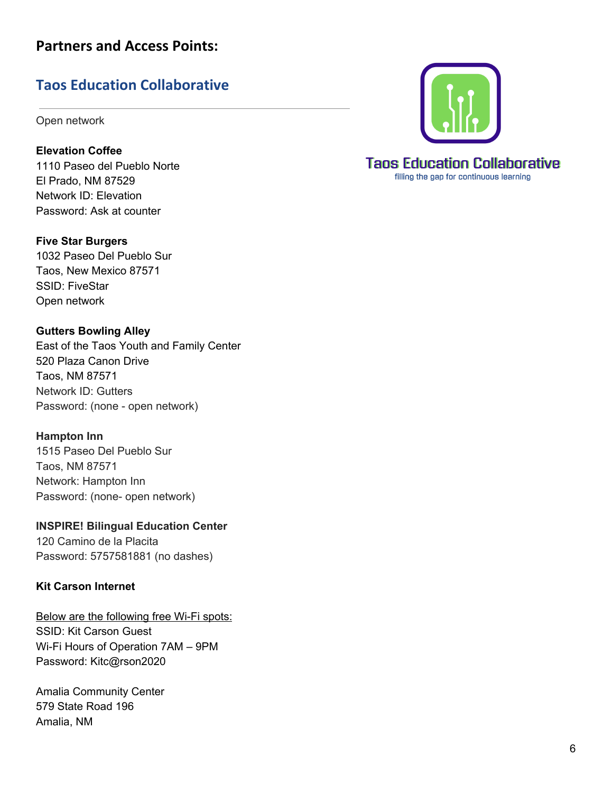# Taos Education Collaborative

Open network

**Elevation Coffee** 1110 Paseo del Pueblo Norte El Prado, NM 87529 Network ID: Elevation Password: Ask at counter

**Five Star Burgers** 1032 Paseo Del Pueblo Sur Taos, New Mexico 87571 SSID: FiveStar Open network

**Gutters Bowling Alley** East of the Taos Youth and Family Center 520 Plaza Canon Drive Taos, NM 87571 Network ID: Gutters Password: (none - open network)

**Hampton Inn** 1515 Paseo Del Pueblo Sur Taos, NM 87571 Network: Hampton Inn Password: (none- open network)

### **INSPIRE! Bilingual Education Center**

120 Camino de la Placita Password: 5757581881 (no dashes)

### **Kit Carson Internet**

Below are the following free Wi-Fi spots: SSID: Kit Carson Guest Wi-Fi Hours of Operation 7AM – 9PM Password: Kitc@rson2020

Amalia Community Center 579 State Road 196 Amalia, NM



# **Taos Education Collaborative**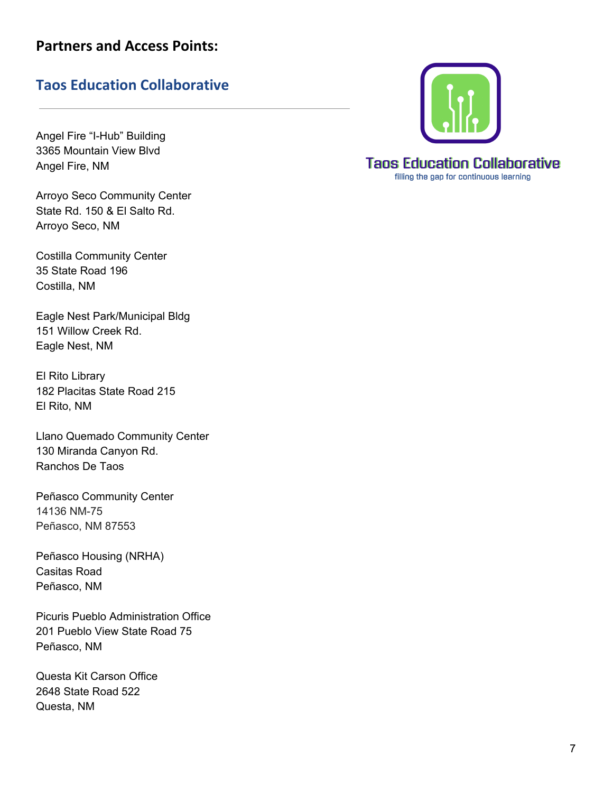# Taos Education Collaborative

Angel Fire "I-Hub" Building 3365 Mountain View Blvd Angel Fire, NM

Arroyo Seco Community Center State Rd. 150 & El Salto Rd. Arroyo Seco, NM

Costilla Community Center 35 State Road 196 Costilla, NM

Eagle Nest Park/Municipal Bld g 151 Willow Creek Rd. Eagle Nest, NM

El Rito Library 182 Placitas State Road 215 El Rit o, N M

Llano Quemado Community Center 130 Miranda Canyon Rd. Ranchos De Taos

Peñasco Community Center 14136 NM-75 Peñasco, NM 87553

Peñasco Housing (NRHA) Casitas Road Peñasco, NM

Picuris Pueblo Administration Office 201 Pueblo View State Road 75 Peñasco, NM

Questa Kit Carson Office 2648 State Road 522 Questa, NM



**Taos Education Collaborative**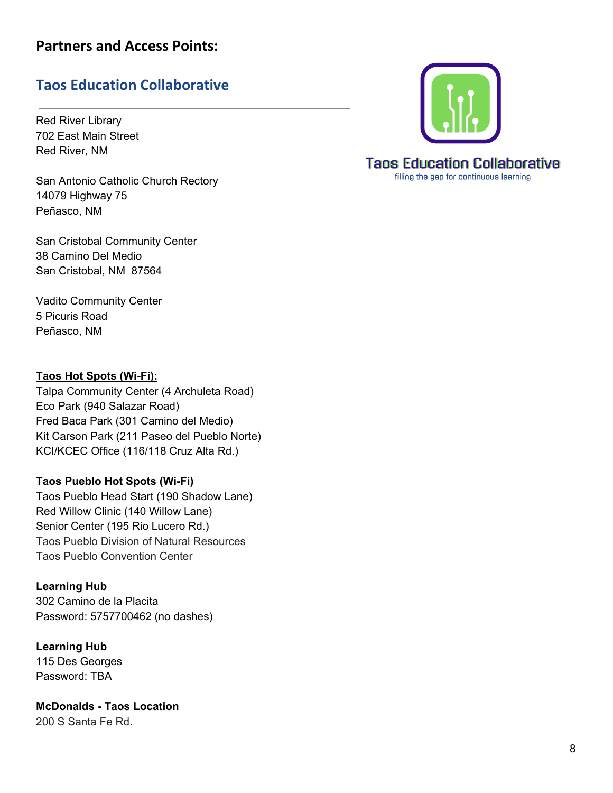# Taos Education Collaborative

Red River Library 702 East Main Street Red River, NM

San Antonio Catholic Church Rectory 14079 Highway 75 Peñasco, NM

San Cristobal Community Center 3 8 C a min o D el M e dio San Cristobal, NM 87564

Vadito Community Center 5 Picuris Road Peñasco, NM

### <u>**Taos Hot Spots (Wi-Fi):</u>**</u>

Talpa Community Center (4 Archuleta Road) Eco Park (940 Salazar Road) Fred Baca Park (301 Camino del Medio) Kit Carson Park (211 Paseo del Pueblo Norte) KCI/KCEC Office (116/118 Cruz Alta Rd.)

### Taos Pueblo Hot Spots (Wi-Fi)

Taos Pueblo Head Start (190 Shadow Lane) Red Willow Clinic (140 Willow Lane) Senior Center (195 Rio Lucero Rd.) Taos Pueblo Division of Natural Resources Taos Pueblo Convention Center

### **Learning Hub**

3 0 2 C a min o d e la Pla cit a Password: 5757700462 (no dashes)

**Learning Hub** 115 Des Georges Password: TBA

**McDonalds - Taos Location** 200 S Santa Fe Rd.



**Taos Education Collaborative**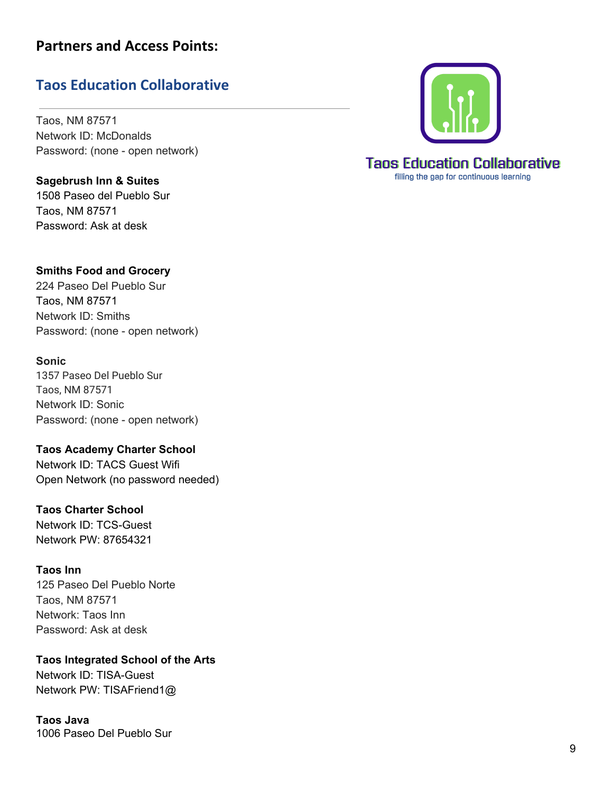# Taos Education Collaborative

Taos, NM 87571 Network ID: McDonalds Password: (none - open network)

Sagebrush Inn & Suites 1508 Paseo del Pue[blo](https://www.google.com/maps/place/Sagebrush+Inn+%26+Suites/@36.3696855,-105.5998715,17z/data=!3m1!4b1!4m8!3m7!1s0x87177b4ba50d4efd:0x6d74ae9100afcfc7!5m2!4m1!1i2!8m2!3d36.3696855!4d-105.5976828) Sur Taos, NM 87571 Password: Ask at desk



224 Paseo Del Pueblo Sur Taos, NM 87571 Network ID: Smiths Password: (none - open network)

### **S o n i c**

1357 Paseo Del Pueblo Sur Taos, NM 87571 Network ID: So nic Password: (none - open network)

Taos Academy Charter School Network ID: TACS Guest Wifi Open Network (no password needed)

### Taos Charter School

Network ID: TCS-Guest Network PW: 87654321

### **T a o s I n n**

125 Paseo Del Pueblo Norte Taos, NM 87571 Network: Taos Inn Password: Ask at desk

**Taos Integrated School of the Arts** 

Network ID: TISA-Guest Network PW: TISAFriend1@

**T a o s J a v a** 1006 Paseo Del Pueblo Sur



# **Taos Education Collaborative**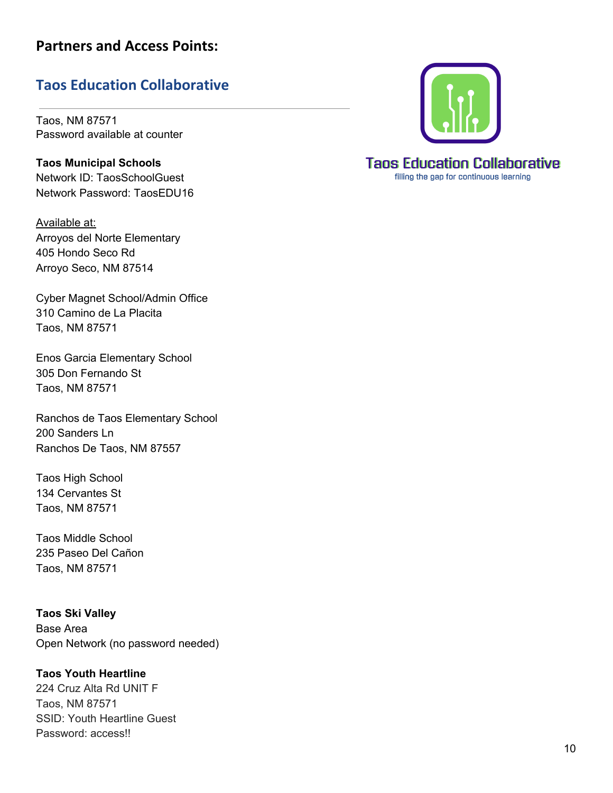# Taos Education Collaborative

Taos, NM 87571 Password available at counter

**Taos Municipal Schools** Network ID: TaosSchoolGuest Network Password: TaosEDU16

Available at: Arroyos del Norte Elementary 4 0 5 H o n d o S e c o R d Arroyo Seco, NM 87514

Cyber Magnet School/Admin Office 310 Camino de La Placita Taos, NM 87571

Enos Garcia Elementary School 305 Don Fernando St Taos, NM 87571

Ranchos de Taos Elementary School 200 Sanders Ln Ranchos De Taos, NM 87557

Taos High School 134 Cervantes St Taos, NM 87571

Taos Middle School 235 Paseo Del Cañon Taos, NM 87571

**Taos Ski Valley** Base Area Open Network (no password needed)

### **Taos Youth Heartline**

224 Cruz Alta Rd UNIT F Taos, NM 87571 SSID: Youth Heartline Guest Password: access!!



# **Taos Education Collaborative**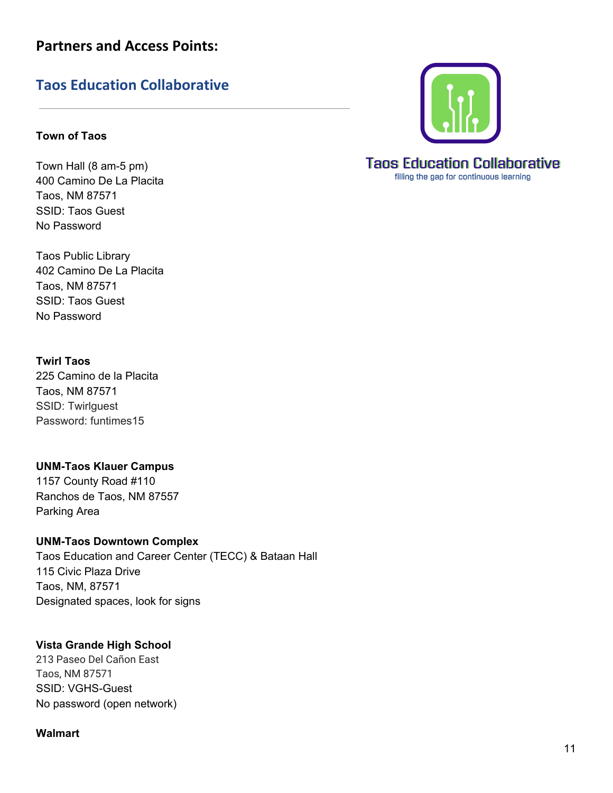## **Taos Education Collaborative**

### **Town of Taos**

Town Hall (8 am-5 pm) 400 Camino De La Placita Taos, NM 87571 SSID: Taos Guest No Password

Taos Public Library 402 Camino De La Placita Taos, NM 87571 SSID: Taos Guest No Password

### **Twirl Taos**

225 Camino de la Placita Taos, NM 87571 SSID: Twirlguest Password: funtimes15

**UNM-Taos Klauer Campus** 1157 County Road #110 Ranchos de Taos, NM 87557 Parking Area

**UNM-Taos Downtown Complex** Taos Education and Career Center (TECC) & Bataan Hall 115 Civic Plaza Drive Taos, NM, 87571 Designated spaces, look for signs

### **Vista Grande High School**

213 Paseo Del Cañon East Taos, NM 87571 SSID: VGHS-Guest No password (open network)

#### **Walmart**



filling the gap for continuous learning

#### 11